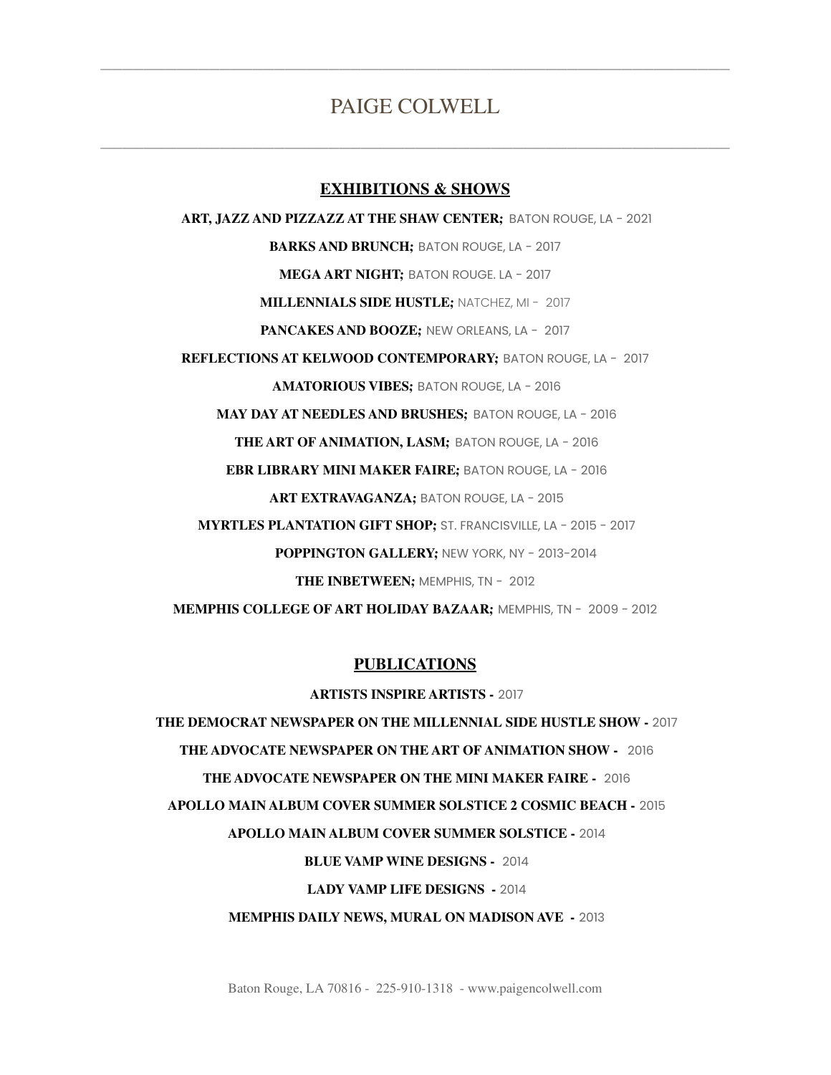## PAIGE COLWELL

 $\mathcal{L}_\text{max}$  , and the contract of the contract of the contract of the contract of the contract of the contract of

 $\overline{\phantom{a}}$  , and the contribution of the contribution of  $\overline{\phantom{a}}$  , and  $\overline{\phantom{a}}$ 

#### **EXHIBITIONS & SHOWS**

**ART, JAZZ AND PIZZAZZ AT THE SHAW CENTER;** BATON ROUGE, LA - 2021 **BARKS AND BRUNCH;** BATON ROUGE, LA - 2017 **MEGA ART NIGHT;** BATON ROUGE. LA - 2017 **MILLENNIALS SIDE HUSTLE;** NATCHEZ, MI - 2017 **PANCAKES AND BOOZE;** NEW ORLEANS, LA - 2017 **REFLECTIONS AT KELWOOD CONTEMPORARY;** BATON ROUGE, LA - 2017 **AMATORIOUS VIBES;** BATON ROUGE, LA - 2016 **MAY DAY AT NEEDLES AND BRUSHES;** BATON ROUGE, LA - 2016 **THE ART OF ANIMATION, LASM;** BATON ROUGE, LA - 2016 **EBR LIBRARY MINI MAKER FAIRE;** BATON ROUGE, LA - 2016 **ART EXTRAVAGANZA;** BATON ROUGE, LA - 2015 **MYRTLES PLANTATION GIFT SHOP;** ST. FRANCISVILLE, LA - 2015 - 2017 **POPPINGTON GALLERY;** NEW YORK, NY - 2013-2014 **THE INBETWEEN;** MEMPHIS, TN - 2012 **MEMPHIS COLLEGE OF ART HOLIDAY BAZAAR;** MEMPHIS, TN - 2009 - 2012

#### **PUBLICATIONS**

**ARTISTS INSPIRE ARTISTS -** 2017

**THE DEMOCRAT NEWSPAPER ON THE MILLENNIAL SIDE HUSTLE SHOW -** 2017 **THE ADVOCATE NEWSPAPER ON THE ART OF ANIMATION SHOW -** 2016 **THE ADVOCATE NEWSPAPER ON THE MINI MAKER FAIRE -** 2016 **APOLLO MAIN ALBUM COVER SUMMER SOLSTICE 2 COSMIC BEACH -** 2015 **APOLLO MAIN ALBUM COVER SUMMER SOLSTICE -** 2014 **BLUE VAMP WINE DESIGNS -** 2014 **LADY VAMP LIFE DESIGNS -** 2014 **MEMPHIS DAILY NEWS, MURAL ON MADISON AVE -** 2013

Baton Rouge, LA 70816 - 225-910-1318 - www.paigencolwell.com